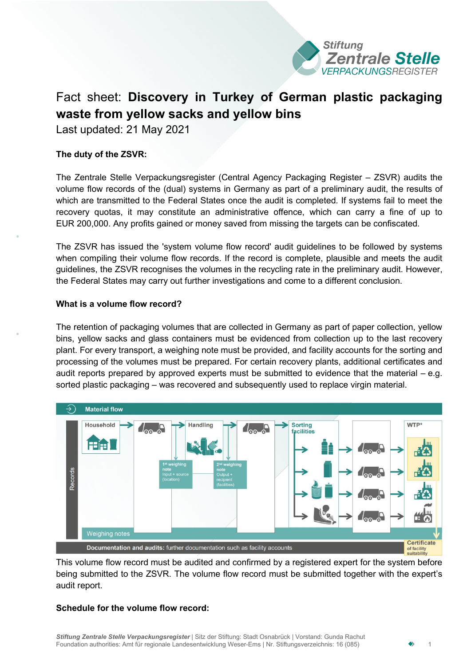

# Fact sheet: **Discovery in Turkey of German plastic packaging waste from yellow sacks and yellow bins**

Last updated: 21 May 2021

# **The duty of the ZSVR:**

The Zentrale Stelle Verpackungsregister (Central Agency Packaging Register – ZSVR) audits the volume flow records of the (dual) systems in Germany as part of a preliminary audit, the results of which are transmitted to the Federal States once the audit is completed. If systems fail to meet the recovery quotas, it may constitute an administrative offence, which can carry a fine of up to EUR 200,000. Any profits gained or money saved from missing the targets can be confiscated.

The ZSVR has issued the 'system volume flow record' audit guidelines to be followed by systems when compiling their volume flow records. If the record is complete, plausible and meets the audit guidelines, the ZSVR recognises the volumes in the recycling rate in the preliminary audit. However, the Federal States may carry out further investigations and come to a different conclusion.

## **What is a volume flow record?**

The retention of packaging volumes that are collected in Germany as part of paper collection, yellow bins, yellow sacks and glass containers must be evidenced from collection up to the last recovery plant. For every transport, a weighing note must be provided, and facility accounts for the sorting and processing of the volumes must be prepared. For certain recovery plants, additional certificates and audit reports prepared by approved experts must be submitted to evidence that the material – e.g. sorted plastic packaging – was recovered and subsequently used to replace virgin material.



This volume flow record must be audited and confirmed by a registered expert for the system before being submitted to the ZSVR. The volume flow record must be submitted together with the expert's audit report.

# **Schedule for the volume flow record:**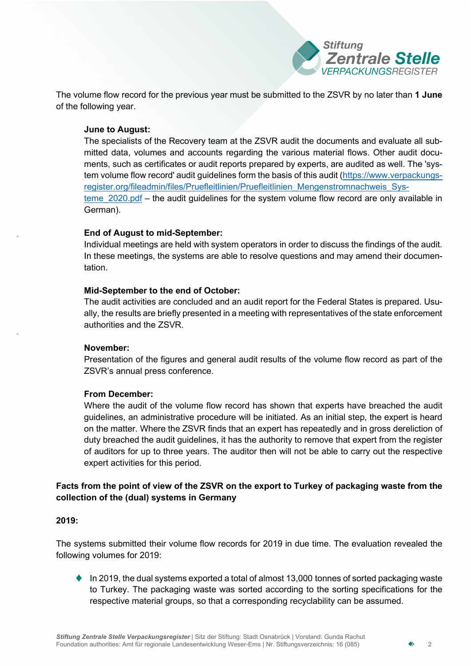

The volume flow record for the previous year must be submitted to the ZSVR by no later than **1 June** of the following year.

#### **June to August:**

The specialists of the Recovery team at the ZSVR audit the documents and evaluate all submitted data, volumes and accounts regarding the various material flows. Other audit documents, such as certificates or audit reports prepared by experts, are audited as well. The 'system volume flow record' audit guidelines form the basis of this audit [\(https://www.verpackungs](https://www.verpackungsregister.org/fileadmin/files/Pruefleitlinien/Pruefleitlinien_Mengenstromnachweis_Systeme_2020.pdf)[register.org/fileadmin/files/Pruefleitlinien/Pruefleitlinien\\_Mengenstromnachweis\\_Sys](https://www.verpackungsregister.org/fileadmin/files/Pruefleitlinien/Pruefleitlinien_Mengenstromnachweis_Systeme_2020.pdf)teme 2020.pdf – the audit guidelines for the system volume flow record are only available in German).

## **End of August to mid-September:**

Individual meetings are held with system operators in order to discuss the findings of the audit. In these meetings, the systems are able to resolve questions and may amend their documentation.

## **Mid-September to the end of October:**

The audit activities are concluded and an audit report for the Federal States is prepared. Usually, the results are briefly presented in a meeting with representatives of the state enforcement authorities and the ZSVR.

#### **November:**

Presentation of the figures and general audit results of the volume flow record as part of the ZSVR's annual press conference.

# **From December:**

Where the audit of the volume flow record has shown that experts have breached the audit guidelines, an administrative procedure will be initiated. As an initial step, the expert is heard on the matter. Where the ZSVR finds that an expert has repeatedly and in gross dereliction of duty breached the audit guidelines, it has the authority to remove that expert from the register of auditors for up to three years. The auditor then will not be able to carry out the respective expert activities for this period.

# **Facts from the point of view of the ZSVR on the export to Turkey of packaging waste from the collection of the (dual) systems in Germany**

#### **2019:**

The systems submitted their volume flow records for 2019 in due time. The evaluation revealed the following volumes for 2019:

In 2019, the dual systems exported a total of almost 13,000 tonnes of sorted packaging waste to Turkey. The packaging waste was sorted according to the sorting specifications for the respective material groups, so that a corresponding recyclability can be assumed.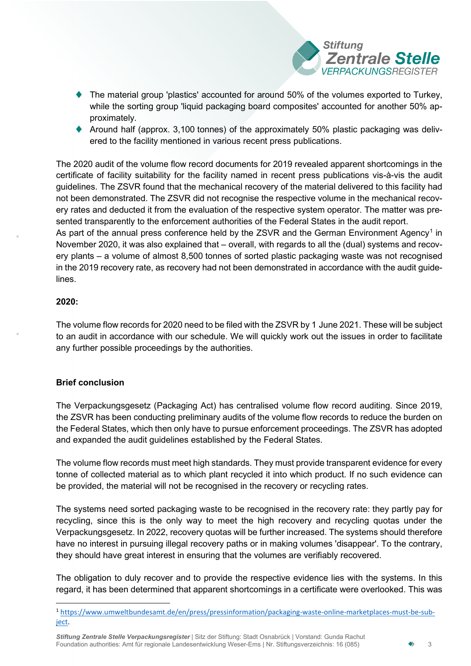

- The material group 'plastics' accounted for around 50% of the volumes exported to Turkey, while the sorting group 'liquid packaging board composites' accounted for another 50% approximately.
- $\blacklozenge$  Around half (approx. 3,100 tonnes) of the approximately 50% plastic packaging was delivered to the facility mentioned in various recent press publications.

The 2020 audit of the volume flow record documents for 2019 revealed apparent shortcomings in the certificate of facility suitability for the facility named in recent press publications vis-à-vis the audit guidelines. The ZSVR found that the mechanical recovery of the material delivered to this facility had not been demonstrated. The ZSVR did not recognise the respective volume in the mechanical recovery rates and deducted it from the evaluation of the respective system operator. The matter was presented transparently to the enforcement authorities of the Federal States in the audit report. As part of the annual press conference held by the ZSVR and the German Environment Agency<sup>[1](#page-2-0)</sup> in November 2020, it was also explained that – overall, with regards to all the (dual) systems and recovery plants – a volume of almost 8,500 tonnes of sorted plastic packaging waste was not recognised in the 2019 recovery rate, as recovery had not been demonstrated in accordance with the audit guide-

#### **2020:**

lines.

The volume flow records for 2020 need to be filed with the ZSVR by 1 June 2021. These will be subject to an audit in accordance with our schedule. We will quickly work out the issues in order to facilitate any further possible proceedings by the authorities.

# **Brief conclusion**

The Verpackungsgesetz (Packaging Act) has centralised volume flow record auditing. Since 2019, the ZSVR has been conducting preliminary audits of the volume flow records to reduce the burden on the Federal States, which then only have to pursue enforcement proceedings. The ZSVR has adopted and expanded the audit guidelines established by the Federal States.

The volume flow records must meet high standards. They must provide transparent evidence for every tonne of collected material as to which plant recycled it into which product. If no such evidence can be provided, the material will not be recognised in the recovery or recycling rates.

The systems need sorted packaging waste to be recognised in the recovery rate: they partly pay for recycling, since this is the only way to meet the high recovery and recycling quotas under the Verpackungsgesetz. In 2022, recovery quotas will be further increased. The systems should therefore have no interest in pursuing illegal recovery paths or in making volumes 'disappear'. To the contrary, they should have great interest in ensuring that the volumes are verifiably recovered.

The obligation to duly recover and to provide the respective evidence lies with the systems. In this regard, it has been determined that apparent shortcomings in a certificate were overlooked. This was

<span id="page-2-0"></span><sup>1</sup> [https://www.umweltbundesamt.de/en/press/pressinformation/packaging-waste-online-marketplaces-must-be-sub](https://www.umweltbundesamt.de/en/press/pressinformation/packaging-waste-online-marketplaces-must-be-subject)[ject.](https://www.umweltbundesamt.de/en/press/pressinformation/packaging-waste-online-marketplaces-must-be-subject)